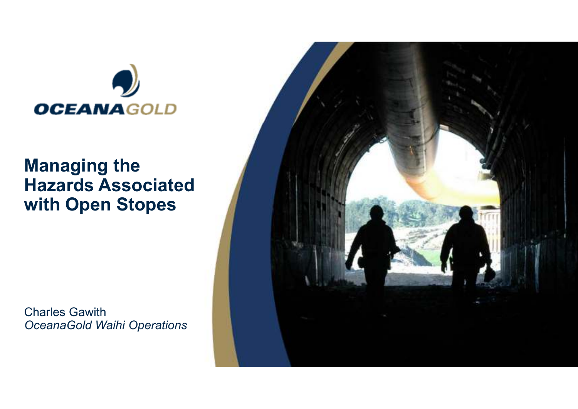

#### **Managing the Hazards Associated with Open Stopes**

Charles Gawith*OceanaGold Waihi Operations*

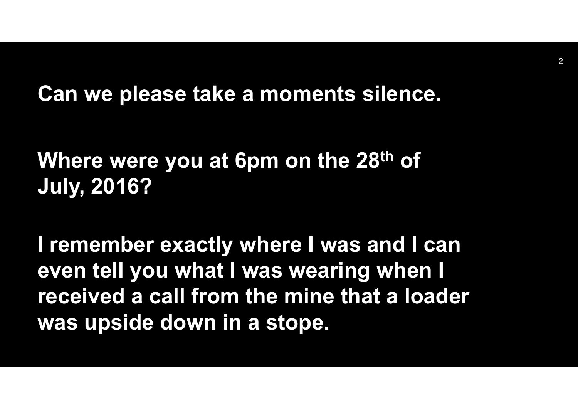**Can we please take a moments silence.**

## **Where were you at 6pm on the 28th of July, 2016?**

**I remember exactly where I was and I can even tell you what I was wearing when I received a call from the mine that a loader was upside down in a stope.**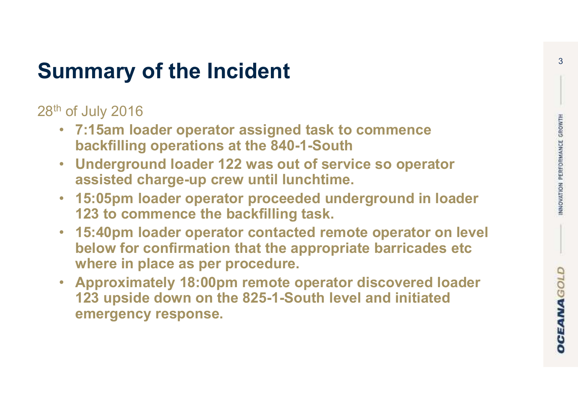### **Summary of the Incident**

28th of July 2016

- **7:15am loader operator assigned task to commence backfilling operations at the 840-1-South**
- **Underground loader 122 was out of service so operator assisted charge-up crew until lunchtime.**
- **15:05pm loader operator proceeded underground in loader 123 to commence the backfilling task.**
- **15:40pm loader operator contacted remote operator on level below for confirmation that the appropriate barricades etc where in place as per procedure.**
- **Approximately 18:00pm remote operator discovered loader 123 upside down on the 825-1-South level and initiated emergency response.**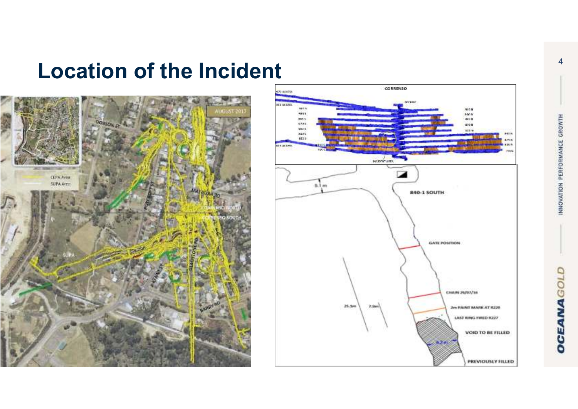### **Location of the Incident**



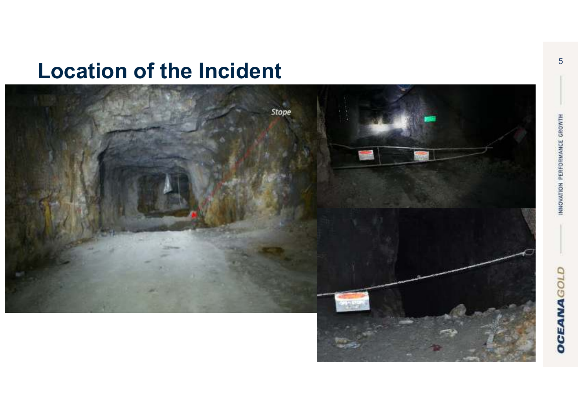### **Location of the Incident**

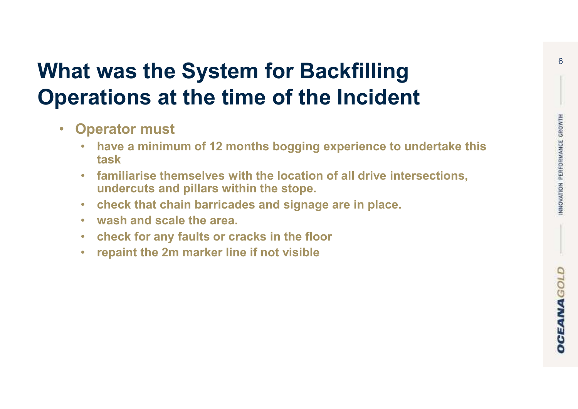### **What was the System for Backfilling Operations at the time of the Incident**

- $\bullet$  **Operator must** 
	- • **have a minimum of 12 months bogging experience to undertake this task**
	- **familiarise themselves with the location of all drive intersections,**  •**undercuts and pillars within the stope.**
	- •**check that chain barricades and signage are in place.**
	- •**wash and scale the area.**
	- •**check for any faults or cracks in the floor**
	- •**repaint the 2m marker line if not visible**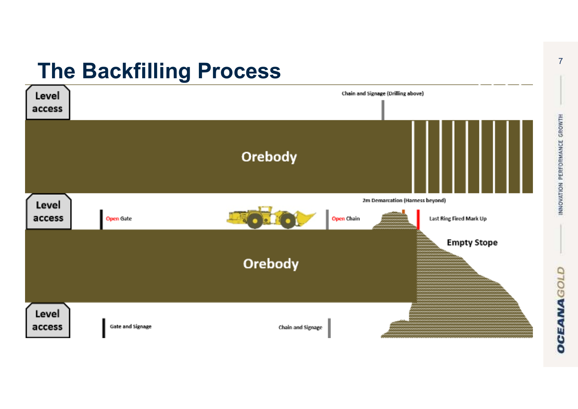## **The Backfilling Process**



7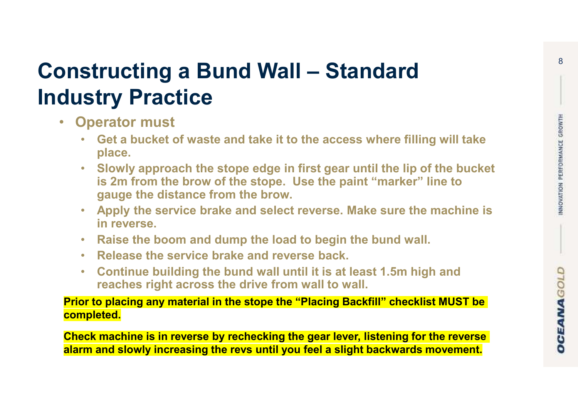# **Constructing a Bund Wall – Standard Industry Practice**

- $\bullet$  **Operator must** 
	- • **Get a bucket of waste and take it to the access where filling will take place.**
	- $\bullet$  **Slowly approach the stope edge in first gear until the lip of the bucket is 2m from the brow of the stope. Use the paint "marker" line to gauge the distance from the brow.**
	- • **Apply the service brake and select reverse. Make sure the machine is in reverse.**
	- •**Raise the boom and dump the load to begin the bund wall.**
	- •**Release the service brake and reverse back.**
	- • **Continue building the bund wall until it is at least 1.5m high and reaches right across the drive from wall to wall.**

**Prior to placing any material in the stope the "Placing Backfill" checklist MUST be completed.**

**Check machine is in reverse by rechecking the gear lever, listening for the reverse alarm and slowly increasing the revs until you feel a slight backwards movement.**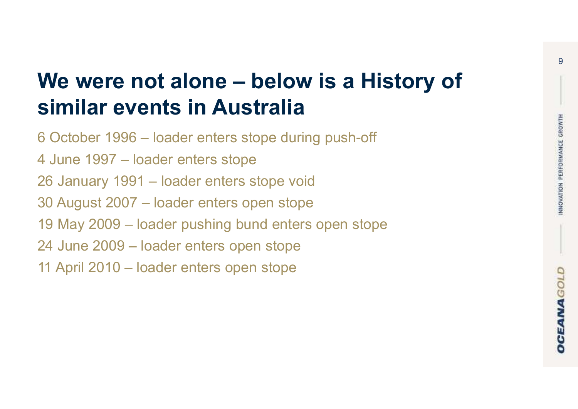## **We were not alone – below is a History of similar events in Australia**

6 October 1996 – loader enters stope during push-off 4 June 1997 – loader enters stope 26 January 1991 – loader enters stope void 30 August 2007 – loader enters open stope 19 May 2009 – loader pushing bund enters open stope 24 June 2009 – loader enters open stope 11 April 2010 – loader enters open stope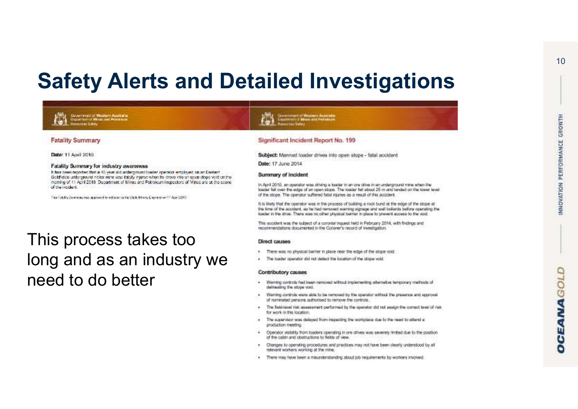### **Safety Alerts and Detailed Investigations**

Date: 11 April 2010

**Fatality Summary** 

#### Fatality Summary for industry awareness

Covertment of Wastern Australia<br>Coppertunctor Mines and Petroleum

It has been reported that a 45 year old underground loader operator employed on an Eastern Goldfields underground nickel mine was falsify intured when he drows into an easing specification the meming of 11 April 2010. Department of Mines and Potroloum Inspectors of Mines are at the score of the incident.

This fieldly Summary non-approved for release by the State. Morris Character and 4 April 2010.

#### This process takes too long and as an industry we need to do better

#### Significant Incident Report No. 199

unt of Western Asstrate<br>mort Mines and Petroleum

Subject: Manned loader drives into open stope - fatal accident Date: 17 June 2014

#### Summary of incident

In April 2010, an operator was driving a loader in an ore drive in an underground mine when the loader felt over the edge of an open stope. The loader felt about 25 m and landed on the lower level of the stope. The operator suffered fatal injuries as a result of this accident.

It is likely that the operator was in the process of building a rock bund at the edge of the stope at the time of the accident, as he had removed warning signage and wall bollands before operating the itsider in the drive. There was no other physical barrier in place to prevent access to the yord.

This accident was the subject of a coronial inquest held in February 2014, with findings and recommendations documented in the Coroner's record of investigation.

#### Direct causes

- There was no physical barrier in place near the edge of the stope void.
- ¥. The ipader operator did not detect the location of the stope void.

#### **Contributory causes**

- Warning controls had been nemoved without implementing alternative temporary methods of ۰ delineating the stope void.
- Warning controls were able to be removed by the operator without the presence and approval . of nominated persons authorised to remove the controls.
- ٠ The field-level risk assessment performed by the operator did not assign the correct level of risk for work in this location.
- The appended was delayed from inspecting the workplace due to the need to attend a production meeting.
- Operator visibility from loaders operating in one drives was severely limited due to the position ٠ of the cabin and obstructions to fields of view
- Changes to operating procedures and practices may not have been clearly understood by all ٠ relevant workers working at the mine.
- There may have been a misunderstanding about job requirements by workers involved.  $\bullet$

10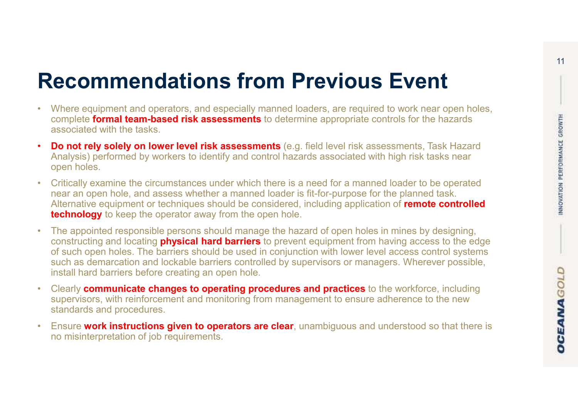### **Recommendations from Previous Event**

- Where equipment and operators, and especially manned loaders, are required to work near open holes,  $\overline{\phantom{a}}$  complete  $\overline{\phantom{a}}$  for the bezerde complete **formal team-based risk assessments** to determine appropriate controls for the hazards associated with the tasks.
- • **Do not rely solely on lower level risk assessments** (e.g. field level risk assessments, Task Hazard Analysis) performed by workers to identify and control hazards associated with high risk tasks near open holes.
- • Critically examine the circumstances under which there is a need for a manned loader to be operated near an open hole, and assess whether a manned loader is fit-for-purpose for the planned task. Alternative equipment or techniques should be considered, including application of **remote controlled technology** to keep the operator away from the open hole.
- • The appointed responsible persons should manage the hazard of open holes in mines by designing, constructing and locating **physical hard barriers** to prevent equipment from having access to the edge of such open holes. The barriers should be used in conjunction with lower level access control systems such as demarcation and lockable barriers controlled by supervisors or managers. Wherever possible, install hard barriers before creating an open hole.
- Clearly **communicate changes to operating procedures and practices** to the workforce, including supervisors, with reinforcement and monitoring from management to ensure adherence to the new standards and procedures.
- • Ensure **work instructions given to operators are clear**, unambiguous and understood so that there is no misinterpretation of job requirements.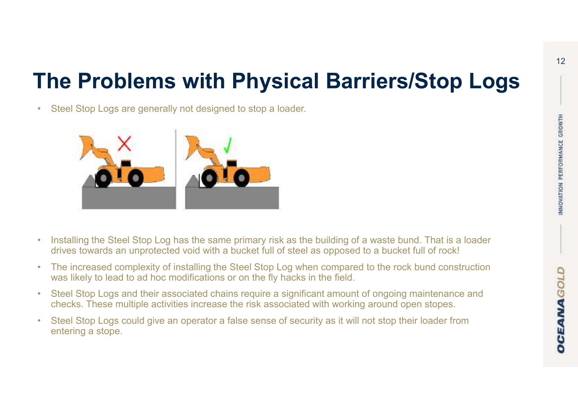## **The Problems with Physical Barriers/Stop Logs**



Steel Stop Logs are generally not designed to stop a loader.

•

- • Installing the Steel Stop Log has the same primary risk as the building of a waste bund. That is a loader drives towards an unprotected void with a bucket full of steel as opposed to a bucket full of rock!
- • The increased complexity of installing the Steel Stop Log when compared to the rock bund construction was likely to lead to ad hoc modifications or on the fly hacks in the field.
- • Steel Stop Logs and their associated chains require a significant amount of ongoing maintenance and checks. These multiple activities increase the risk associated with working around open stopes.
- Steel Stop Logs could give an operator a false sense of security as it will not stop their loader from entering a stope.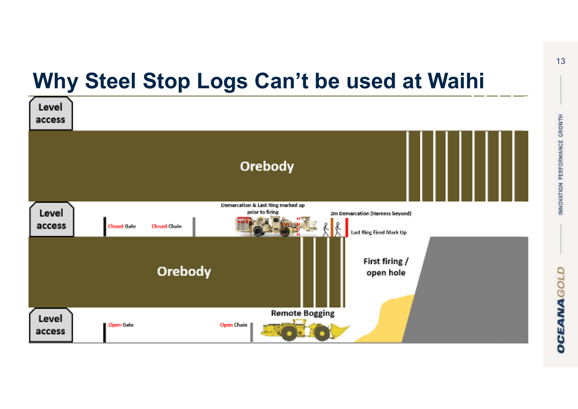### **Why Steel Stop Logs Can't be used at Waihi**

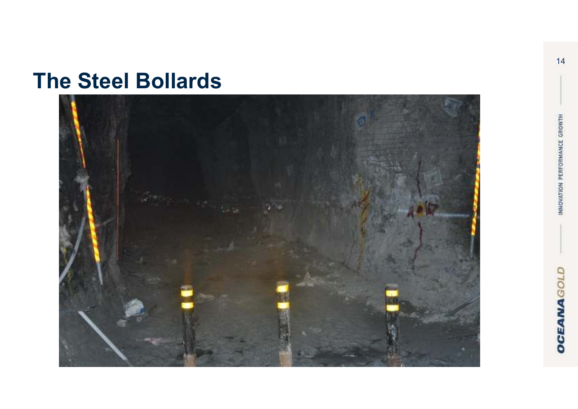### **The Steel Bollards**

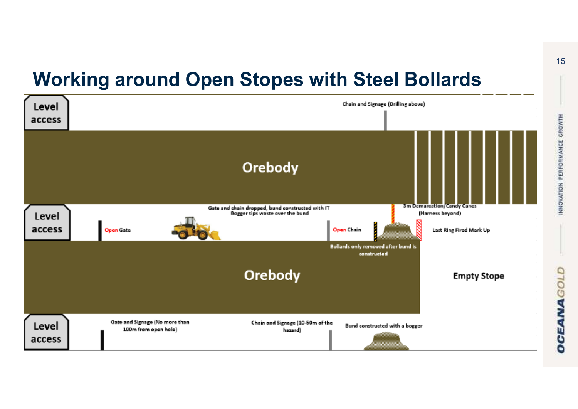### **Working around Open Stopes with Steel Bollards**

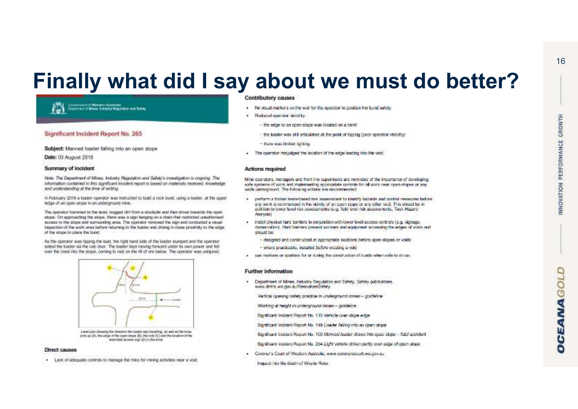### **Finally what did I say about we must do better?**



#### Significant Incident Report No. 265

Subject: Manned loader falling into an open stope

Date: 03 August 2018

#### Summary of Incident

Note: The Department of Mines: Includy Regulation and Safety's investigation is organize. The information contained in this significant incident report is based on materials received. Impulsible and understanding at the time of writing.

In February 2018 a loader operator was instructed to build a rook bund, using a loader, at the upper ledge of an open stope in an underground mine.

The operator trammed to the level, bogged dri from a stockpik and then dross towards the open stops: On approaching the stops, there was a sign hanging on a chain that restricted unsultorised access to the stops and surrounding area. The operator removed the sign and conducted a visual inspection of the work area before neturning to the loader and driving in close proximity to the edge. of the stope to place the bund.

As the operator was floping the load, the right hand side of the loader siumped and the operator exted the loader via the cab door. The loader kept moving forward under its own power and fell over the crest into the stope, coming to rest on the rill of one below. The operator was uninjured.



Level plan showing the direction the lighter was traveling, as well as the browpick-up (A), the edge of the open stope (B), the void (C) and the location of the mentioned accuracy sign (FF) in the crisis.

#### **Direct causes**

. Lack of adequate controls to manage the risks for mining activities near a void.

#### **Contributory causes**

- No visual markers on the wall for the operator to position the bund safely.
- z Reduced operator visibility:
	- the edge to an open strop was located on a bend
	- · the loader was still articulated at the point of tipping (poor operator visibility)
	- there was limited lighting
- The operator inistudged the location of the edge leading into the void.

#### **Actions required**

Mine operators, managers and front line supervisors are reminded of the importance of developing sale systems of work and implementing appropriate controls for all work near open stopes or any wids untercrowd. The following actions are peconymeroled:

- perform a formal team-based risk assessment to identify bazants and control messures before  $\bullet$ any work is commenced in the vicinity of an open stope or any other void. This should be in addition to lower level risk assessments (e.g. field level risk assessments, Task Hazard Arenkede I
- install physical hard barriers in conjunction with lower level access controls (e.g. signage, × demancation). Hent benters prevent workers and equipment accessing the edges of voids and should be:
	- designed and constructed at appropriate locations before open stopes or voids.
	- where practicable, installed before creating a void
- use merkens or spotters for or during the construction of bunds when as fe to do so.

#### **Further information**

- Department of Mines. Industry Requisition and Safety. Safety publications. www.dmirs.wa.gov.au/ResourcesSafety
	- Vertical operator safety practice in underground mines guideline
	- Working at height in underground mines goldeline
	- Significant incident Report No. 110 Vehicle over stope edge
	- Significant Incident Report No. 149 Loader falling into an open stope
	- Significant Incident Report No. 199 Monned leader drives into open stope fetal accident
	- Significant incident Report No. 234 Light vehicle driven partly over edge of open stopp-
- Corenzi's Court of Western Australia, www.commers.court.wa.cov.au-
	- Inquest into the death of Wayne Ross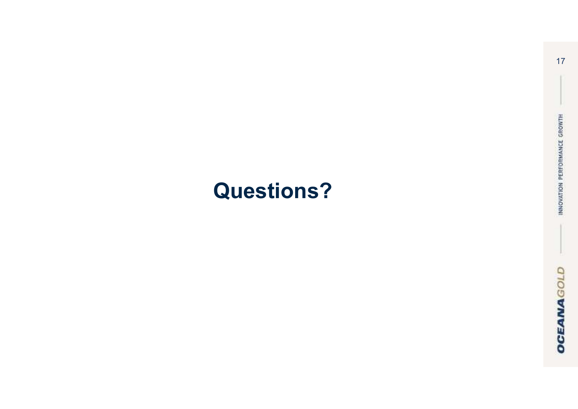## **Questions?**